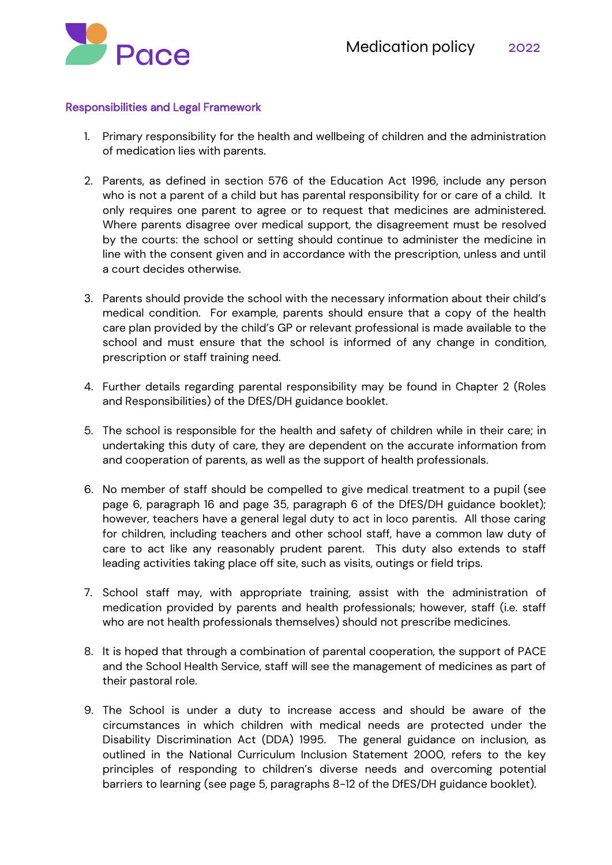

#### Responsibilities and Legal Framework

- 1. Primary responsibility for the health and wellbeing of children and the administration of medication lies with parents.
- 2. Parents, as defined in section 576 of the Education Act 1996, include any person who is not a parent of a child but has parental responsibility for or care of a child. It only requires one parent to agree or to request that medicines are administered. Where parents disagree over medical support, the disagreement must be resolved by the courts: the school or setting should continue to administer the medicine in line with the consent given and in accordance with the prescription, unless and until a court decides otherwise.
- 3. Parents should provide the school with the necessary information about their child's medical condition. For example, parents should ensure that a copy of the health care plan provided by the child's GP or relevant professional is made available to the school and must ensure that the school is informed of any change in condition, prescription or staff training need.
- 4. Further details regarding parental responsibility may be found in Chapter 2 (Roles and Responsibilities) of the DfES/DH guidance booklet.
- 5. The school is responsible for the health and safety of children while in their care; in undertaking this duty of care, they are dependent on the accurate information from and cooperation of parents, as well as the support of health professionals.
- 6. No member of staff should be compelled to give medical treatment to a pupil (see page 6, paragraph 16 and page 35, paragraph 6 of the DfES/DH guidance booklet); however, teachers have a general legal duty to act in loco parentis. All those caring for children, including teachers and other school staff, have a common law duty of care to act like any reasonably prudent parent. This duty also extends to staff leading activities taking place off site, such as visits, outings or field trips.
- 7. School staff may, with appropriate training, assist with the administration of medication provided by parents and health professionals; however, staff (i.e. staff who are not health professionals themselves) should not prescribe medicines.
- 8. It is hoped that through a combination of parental cooperation, the support of PACE and the School Health Service, staff will see the management of medicines as part of their pastoral role.
- 9. The School is under a duty to increase access and should be aware of the circumstances in which children with medical needs are protected under the Disability Discrimination Act (DDA) 1995. The general guidance on inclusion, as outlined in the National Curriculum Inclusion Statement 2000, refers to the key principles of responding to children's diverse needs and overcoming potential barriers to learning (see page 5, paragraphs 8-12 of the DfES/DH guidance booklet).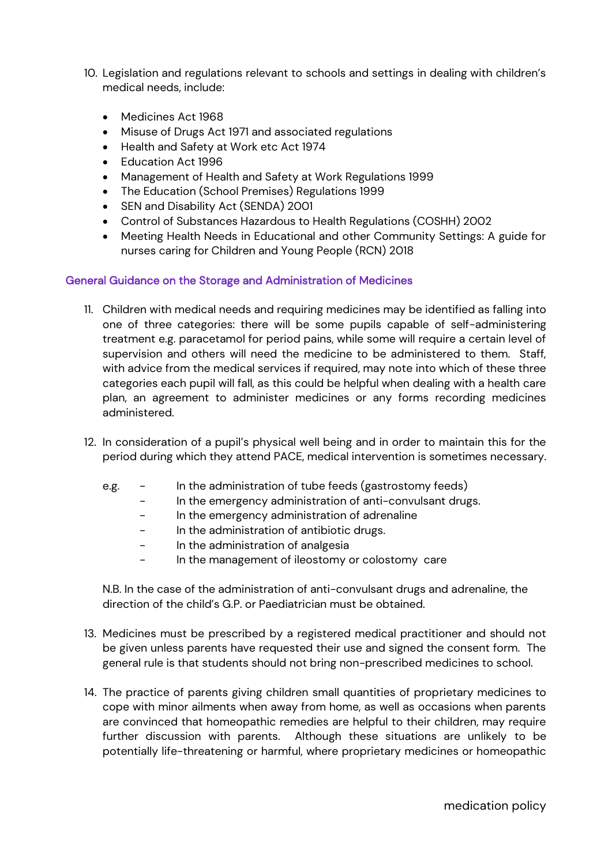- 10. Legislation and regulations relevant to schools and settings in dealing with children's medical needs, include:
	- Medicines Act 1968
	- Misuse of Drugs Act 1971 and associated regulations
	- Health and Safety at Work etc Act 1974
	- Education Act 1996
	- Management of Health and Safety at Work Regulations 1999
	- The Education (School Premises) Regulations 1999
	- SEN and Disability Act (SENDA) 2001
	- Control of Substances Hazardous to Health Regulations (COSHH) 2002
	- Meeting Health Needs in Educational and other Community Settings: A guide for nurses caring for Children and Young People (RCN) 2018

#### General Guidance on the Storage and Administration of Medicines

- 11. Children with medical needs and requiring medicines may be identified as falling into one of three categories: there will be some pupils capable of self-administering treatment e.g. paracetamol for period pains, while some will require a certain level of supervision and others will need the medicine to be administered to them. Staff, with advice from the medical services if required, may note into which of these three categories each pupil will fall, as this could be helpful when dealing with a health care plan, an agreement to administer medicines or any forms recording medicines administered.
- 12. In consideration of a pupil's physical well being and in order to maintain this for the period during which they attend PACE, medical intervention is sometimes necessary.
	- e.g. In the administration of tube feeds (gastrostomy feeds)
		- In the emergency administration of anti-convulsant drugs.
		- In the emergency administration of adrenaline
		- In the administration of antibiotic drugs.
		- In the administration of analgesia
		- In the management of ileostomy or colostomy care

N.B. In the case of the administration of anti-convulsant drugs and adrenaline, the direction of the child's G.P. or Paediatrician must be obtained.

- 13. Medicines must be prescribed by a registered medical practitioner and should not be given unless parents have requested their use and signed the consent form. The general rule is that students should not bring non-prescribed medicines to school.
- 14. The practice of parents giving children small quantities of proprietary medicines to cope with minor ailments when away from home, as well as occasions when parents are convinced that homeopathic remedies are helpful to their children, may require further discussion with parents. Although these situations are unlikely to be potentially life-threatening or harmful, where proprietary medicines or homeopathic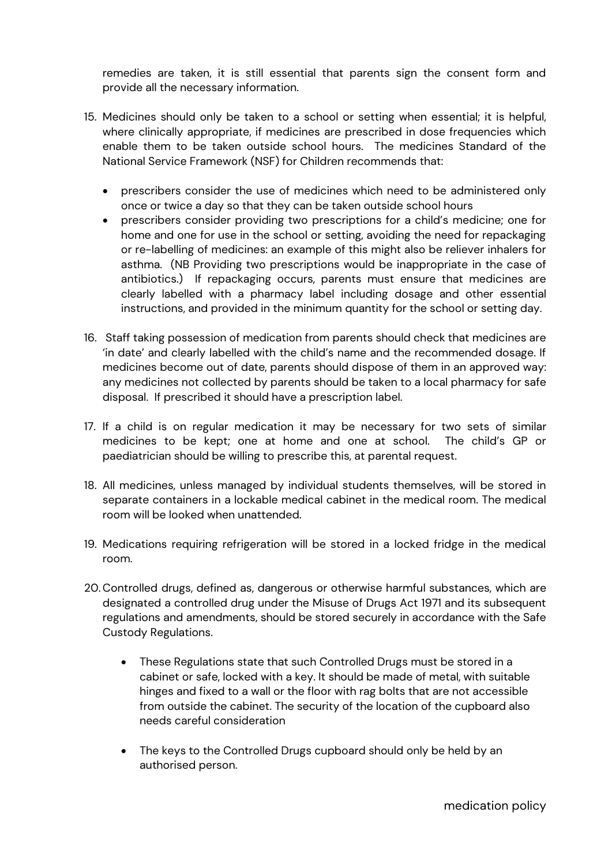remedies are taken, it is still essential that parents sign the consent form and provide all the necessary information.

- 15. Medicines should only be taken to a school or setting when essential; it is helpful, where clinically appropriate, if medicines are prescribed in dose frequencies which enable them to be taken outside school hours. The medicines Standard of the National Service Framework (NSF) for Children recommends that:
	- prescribers consider the use of medicines which need to be administered only once or twice a day so that they can be taken outside school hours
	- prescribers consider providing two prescriptions for a child's medicine; one for home and one for use in the school or setting, avoiding the need for repackaging or re-labelling of medicines: an example of this might also be reliever inhalers for asthma. (NB Providing two prescriptions would be inappropriate in the case of antibiotics.) If repackaging occurs, parents must ensure that medicines are clearly labelled with a pharmacy label including dosage and other essential instructions, and provided in the minimum quantity for the school or setting day.
- 16. Staff taking possession of medication from parents should check that medicines are 'in date' and clearly labelled with the child's name and the recommended dosage. If medicines become out of date, parents should dispose of them in an approved way: any medicines not collected by parents should be taken to a local pharmacy for safe disposal. If prescribed it should have a prescription label.
- 17. If a child is on regular medication it may be necessary for two sets of similar medicines to be kept; one at home and one at school. The child's GP or paediatrician should be willing to prescribe this, at parental request.
- 18. All medicines, unless managed by individual students themselves, will be stored in separate containers in a lockable medical cabinet in the medical room. The medical room will be looked when unattended.
- 19. Medications requiring refrigeration will be stored in a locked fridge in the medical room.
- 20. Controlled drugs, defined as, dangerous or otherwise harmful substances, which are designated a controlled drug under the Misuse of Drugs Act 1971 and its subsequent regulations and amendments, should be stored securely in accordance with the Safe Custody Regulations.
	- These Regulations state that such Controlled Drugs must be stored in a cabinet or safe, locked with a key. It should be made of metal, with suitable hinges and fixed to a wall or the floor with rag bolts that are not accessible from outside the cabinet. The security of the location of the cupboard also needs careful consideration
	- The keys to the Controlled Drugs cupboard should only be held by an authorised person.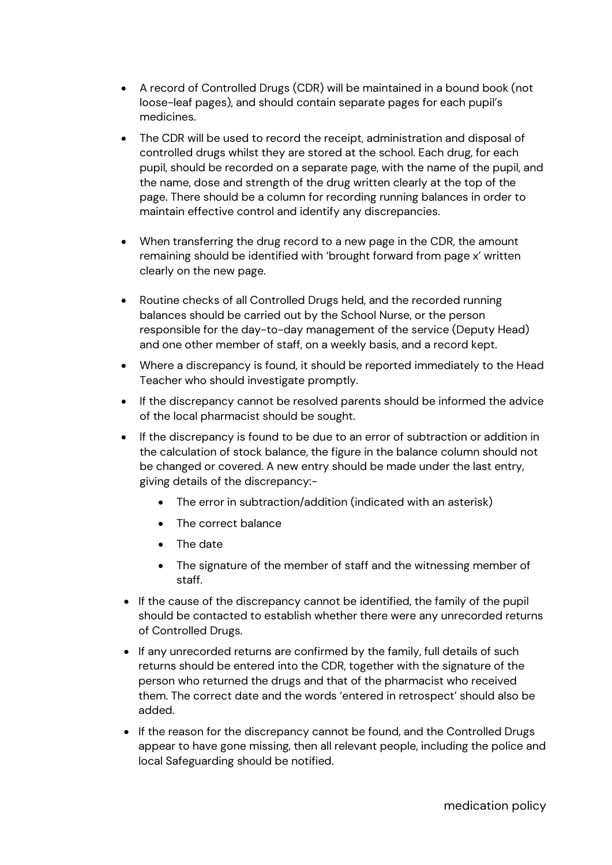- A record of Controlled Drugs (CDR) will be maintained in a bound book (not loose-leaf pages), and should contain separate pages for each pupil's medicines.
- The CDR will be used to record the receipt, administration and disposal of controlled drugs whilst they are stored at the school. Each drug, for each pupil, should be recorded on a separate page, with the name of the pupil, and the name, dose and strength of the drug written clearly at the top of the page. There should be a column for recording running balances in order to maintain effective control and identify any discrepancies.
- When transferring the drug record to a new page in the CDR, the amount remaining should be identified with 'brought forward from page x' written clearly on the new page.
- Routine checks of all Controlled Drugs held, and the recorded running balances should be carried out by the School Nurse, or the person responsible for the day-to-day management of the service (Deputy Head) and one other member of staff, on a weekly basis, and a record kept.
- Where a discrepancy is found, it should be reported immediately to the Head Teacher who should investigate promptly.
- If the discrepancy cannot be resolved parents should be informed the advice of the local pharmacist should be sought.
- If the discrepancy is found to be due to an error of subtraction or addition in the calculation of stock balance, the figure in the balance column should not be changed or covered. A new entry should be made under the last entry, giving details of the discrepancy:-
	- The error in subtraction/addition (indicated with an asterisk)
	- The correct balance
	- The date
	- The signature of the member of staff and the witnessing member of staff.
- If the cause of the discrepancy cannot be identified, the family of the pupil should be contacted to establish whether there were any unrecorded returns of Controlled Drugs.
- If any unrecorded returns are confirmed by the family, full details of such returns should be entered into the CDR, together with the signature of the person who returned the drugs and that of the pharmacist who received them. The correct date and the words 'entered in retrospect' should also be added.
- If the reason for the discrepancy cannot be found, and the Controlled Drugs appear to have gone missing, then all relevant people, including the police and local Safeguarding should be notified.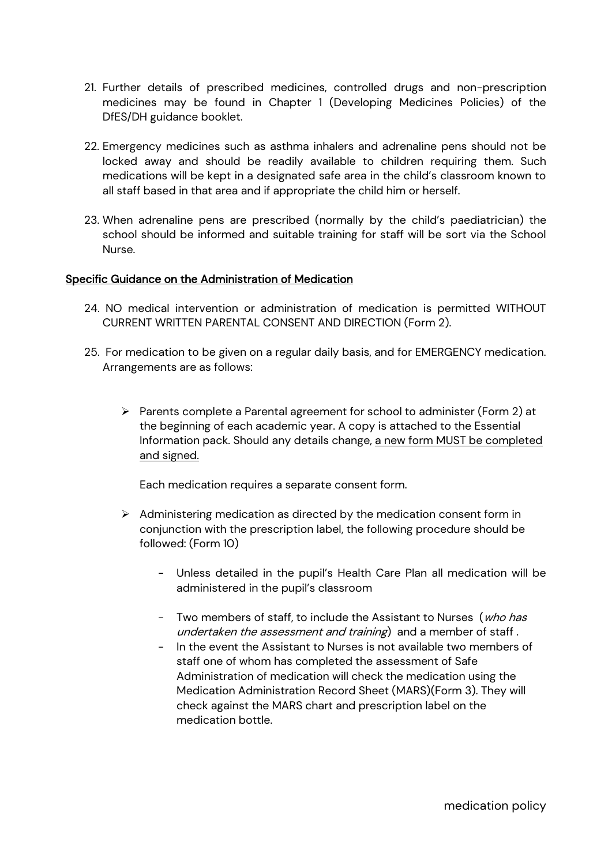- 21. Further details of prescribed medicines, controlled drugs and non-prescription medicines may be found in Chapter 1 (Developing Medicines Policies) of the DfES/DH guidance booklet.
- 22. Emergency medicines such as asthma inhalers and adrenaline pens should not be locked away and should be readily available to children requiring them. Such medications will be kept in a designated safe area in the child's classroom known to all staff based in that area and if appropriate the child him or herself.
- 23. When adrenaline pens are prescribed (normally by the child's paediatrician) the school should be informed and suitable training for staff will be sort via the School Nurse.

#### Specific Guidance on the Administration of Medication

- 24. NO medical intervention or administration of medication is permitted WITHOUT CURRENT WRITTEN PARENTAL CONSENT AND DIRECTION (Form 2).
- 25. For medication to be given on a regular daily basis, and for EMERGENCY medication. Arrangements are as follows:
	- $\triangleright$  Parents complete a Parental agreement for school to administer (Form 2) at the beginning of each academic year. A copy is attached to the Essential Information pack. Should any details change, a new form MUST be completed and signed.

Each medication requires a separate consent form.

- ➢ Administering medication as directed by the medication consent form in conjunction with the prescription label, the following procedure should be followed: (Form 10)
	- Unless detailed in the pupil's Health Care Plan all medication will be administered in the pupil's classroom
	- Two members of staff, to include the Assistant to Nurses (who has undertaken the assessment and training) and a member of staff.
	- In the event the Assistant to Nurses is not available two members of staff one of whom has completed the assessment of Safe Administration of medication will check the medication using the Medication Administration Record Sheet (MARS)(Form 3). They will check against the MARS chart and prescription label on the medication bottle.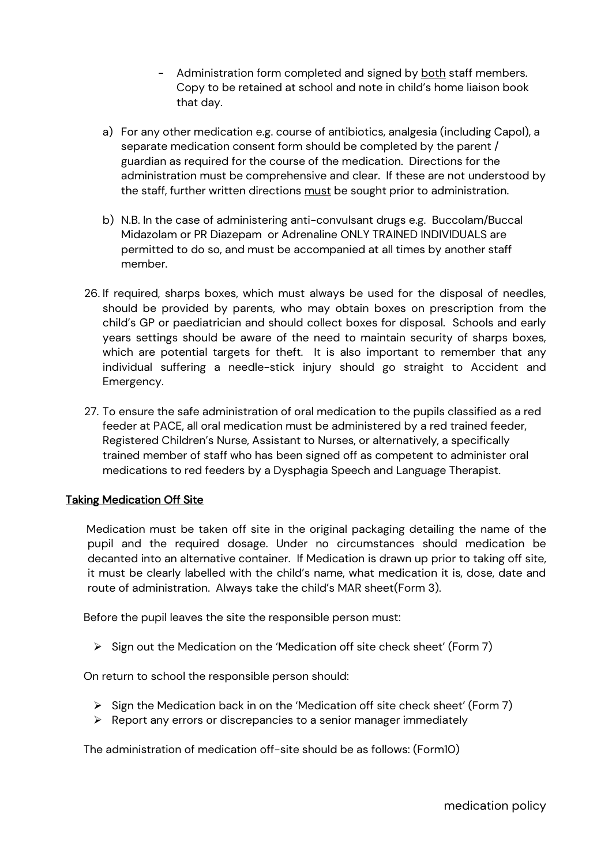- Administration form completed and signed by both staff members. Copy to be retained at school and note in child's home liaison book that day.
- a) For any other medication e.g. course of antibiotics, analgesia (including Capol), a separate medication consent form should be completed by the parent / guardian as required for the course of the medication. Directions for the administration must be comprehensive and clear. If these are not understood by the staff, further written directions must be sought prior to administration.
- b) N.B. In the case of administering anti-convulsant drugs e.g. Buccolam/Buccal Midazolam or PR Diazepam or Adrenaline ONLY TRAINED INDIVIDUALS are permitted to do so, and must be accompanied at all times by another staff member.
- 26. If required, sharps boxes, which must always be used for the disposal of needles, should be provided by parents, who may obtain boxes on prescription from the child's GP or paediatrician and should collect boxes for disposal. Schools and early years settings should be aware of the need to maintain security of sharps boxes, which are potential targets for theft. It is also important to remember that any individual suffering a needle-stick injury should go straight to Accident and Emergency.
- 27. To ensure the safe administration of oral medication to the pupils classified as a red feeder at PACE, all oral medication must be administered by a red trained feeder, Registered Children's Nurse, Assistant to Nurses, or alternatively, a specifically trained member of staff who has been signed off as competent to administer oral medications to red feeders by a Dysphagia Speech and Language Therapist.

#### **Taking Medication Off Site**

 Medication must be taken off site in the original packaging detailing the name of the pupil and the required dosage. Under no circumstances should medication be decanted into an alternative container. If Medication is drawn up prior to taking off site, it must be clearly labelled with the child's name, what medication it is, dose, date and route of administration. Always take the child's MAR sheet(Form 3).

Before the pupil leaves the site the responsible person must:

➢ Sign out the Medication on the 'Medication off site check sheet' (Form 7)

On return to school the responsible person should:

- $\triangleright$  Sign the Medication back in on the 'Medication off site check sheet' (Form 7)
- $\triangleright$  Report any errors or discrepancies to a senior manager immediately

The administration of medication off-site should be as follows: (Form10)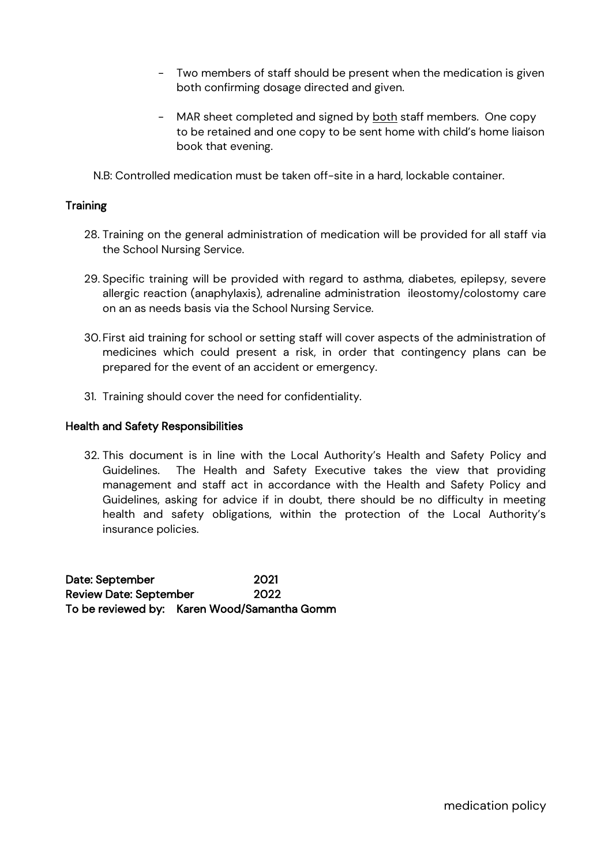- Two members of staff should be present when the medication is given both confirming dosage directed and given.
- MAR sheet completed and signed by both staff members. One copy to be retained and one copy to be sent home with child's home liaison book that evening.

N.B: Controlled medication must be taken off-site in a hard, lockable container.

#### **Training**

- 28. Training on the general administration of medication will be provided for all staff via the School Nursing Service.
- 29. Specific training will be provided with regard to asthma, diabetes, epilepsy, severe allergic reaction (anaphylaxis), adrenaline administration ileostomy/colostomy care on an as needs basis via the School Nursing Service.
- 30. First aid training for school or setting staff will cover aspects of the administration of medicines which could present a risk, in order that contingency plans can be prepared for the event of an accident or emergency.
- 31. Training should cover the need for confidentiality.

#### Health and Safety Responsibilities

32. This document is in line with the Local Authority's Health and Safety Policy and Guidelines. The Health and Safety Executive takes the view that providing management and staff act in accordance with the Health and Safety Policy and Guidelines, asking for advice if in doubt, there should be no difficulty in meeting health and safety obligations, within the protection of the Local Authority's insurance policies.

Date: September 2021 Review Date: September 2022 To be reviewed by: Karen Wood/Samantha Gomm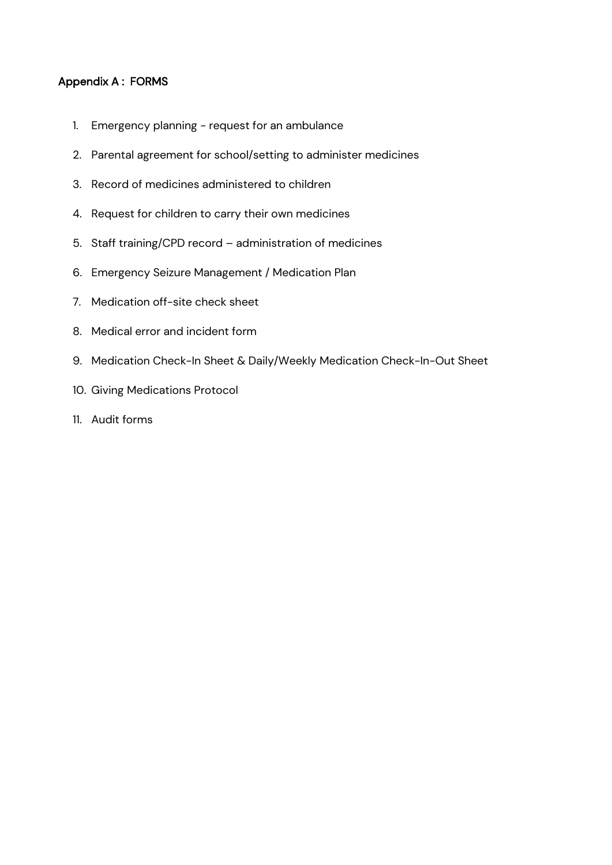#### Appendix A : FORMS

- 1. Emergency planning request for an ambulance
- 2. Parental agreement for school/setting to administer medicines
- 3. Record of medicines administered to children
- 4. Request for children to carry their own medicines
- 5. Staff training/CPD record administration of medicines
- 6. Emergency Seizure Management / Medication Plan
- 7. Medication off-site check sheet
- 8. Medical error and incident form
- 9. Medication Check-In Sheet & Daily/Weekly Medication Check-In-Out Sheet
- 10. Giving Medications Protocol
- 11. Audit forms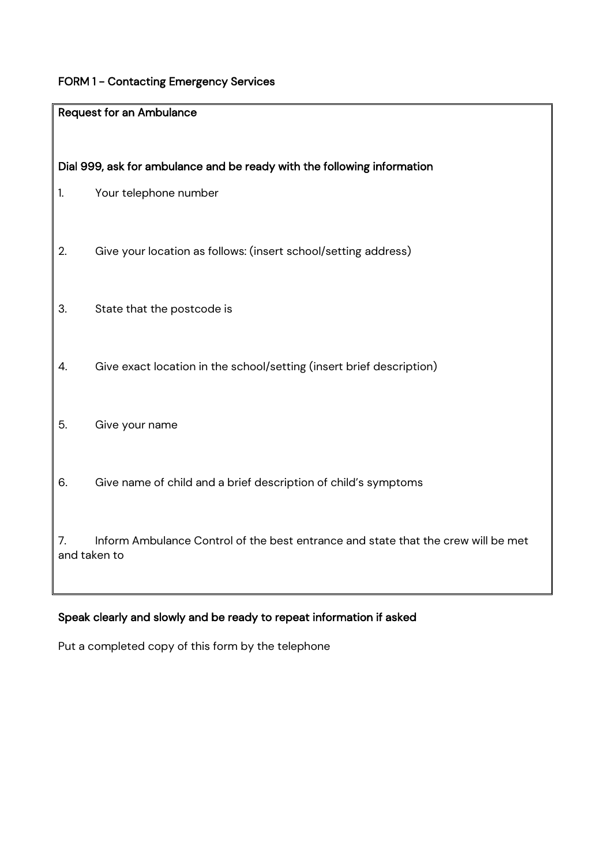# FORM 1 - Contacting Emergency Services

|    | <b>Request for an Ambulance</b>                                                   |
|----|-----------------------------------------------------------------------------------|
|    |                                                                                   |
|    | Dial 999, ask for ambulance and be ready with the following information           |
| 1. | Your telephone number                                                             |
|    |                                                                                   |
| 2. | Give your location as follows: (insert school/setting address)                    |
|    |                                                                                   |
| 3. | State that the postcode is                                                        |
|    |                                                                                   |
| 4. | Give exact location in the school/setting (insert brief description)              |
|    |                                                                                   |
| 5. | Give your name                                                                    |
|    |                                                                                   |
| 6. | Give name of child and a brief description of child's symptoms                    |
|    |                                                                                   |
| 7. | Inform Ambulance Control of the best entrance and state that the crew will be met |
|    | and taken to                                                                      |
|    |                                                                                   |

# Speak clearly and slowly and be ready to repeat information if asked

Put a completed copy of this form by the telephone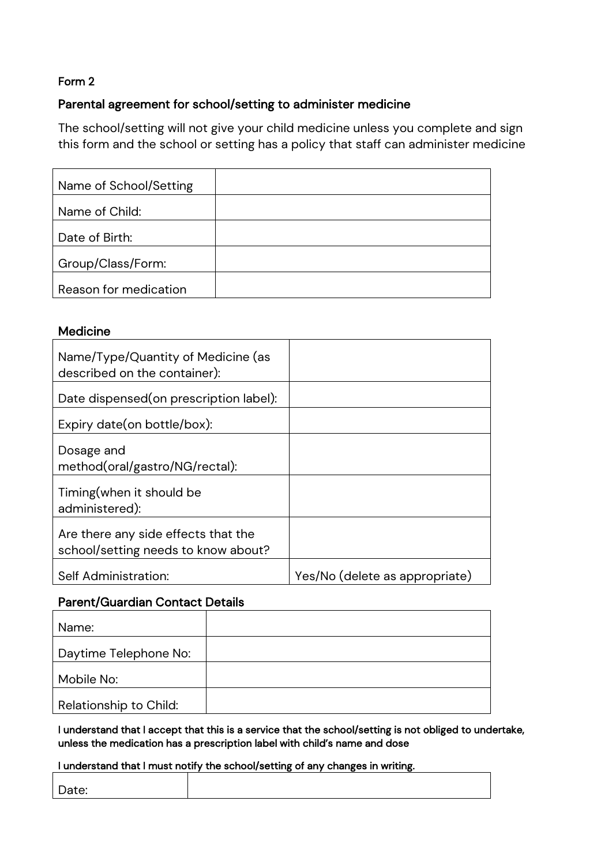# Parental agreement for school/setting to administer medicine

The school/setting will not give your child medicine unless you complete and sign this form and the school or setting has a policy that staff can administer medicine

| Name of School/Setting |  |
|------------------------|--|
| Name of Child:         |  |
| Date of Birth:         |  |
| Group/Class/Form:      |  |
| Reason for medication  |  |

#### **Medicine**

| Name/Type/Quantity of Medicine (as<br>described on the container):         |                                |
|----------------------------------------------------------------------------|--------------------------------|
| Date dispensed (on prescription label):                                    |                                |
| Expiry date (on bottle/box):                                               |                                |
| Dosage and<br>method(oral/gastro/NG/rectal):                               |                                |
| Timing (when it should be<br>administered):                                |                                |
| Are there any side effects that the<br>school/setting needs to know about? |                                |
| Self Administration:                                                       | Yes/No (delete as appropriate) |

## Parent/Guardian Contact Details

| Name:                  |  |
|------------------------|--|
| Daytime Telephone No:  |  |
| Mobile No:             |  |
| Relationship to Child: |  |

I understand that I accept that this is a service that the school/setting is not obliged to undertake, unless the medication has a prescription label with child's name and dose

#### I understand that I must notify the school/setting of any changes in writing.

| Date: |  |
|-------|--|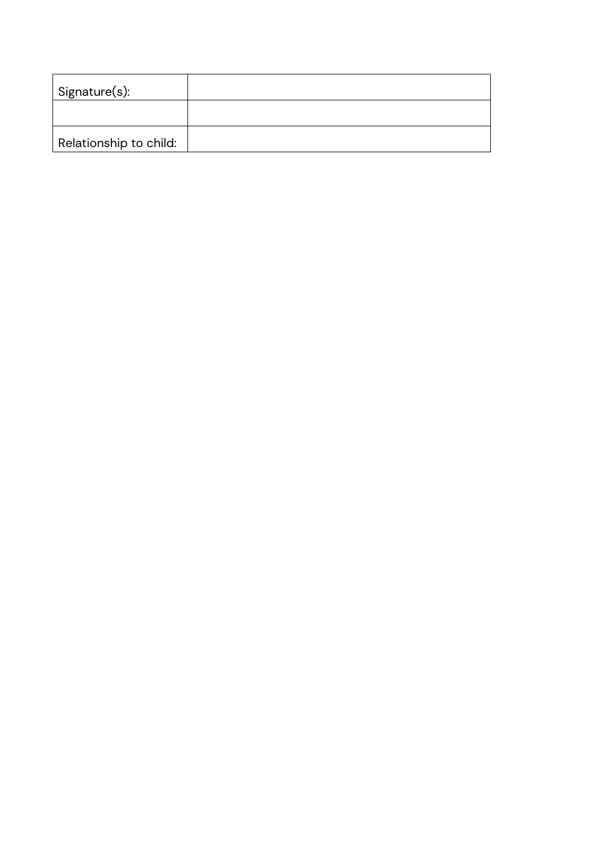| Signature(s):          |  |
|------------------------|--|
|                        |  |
| Relationship to child: |  |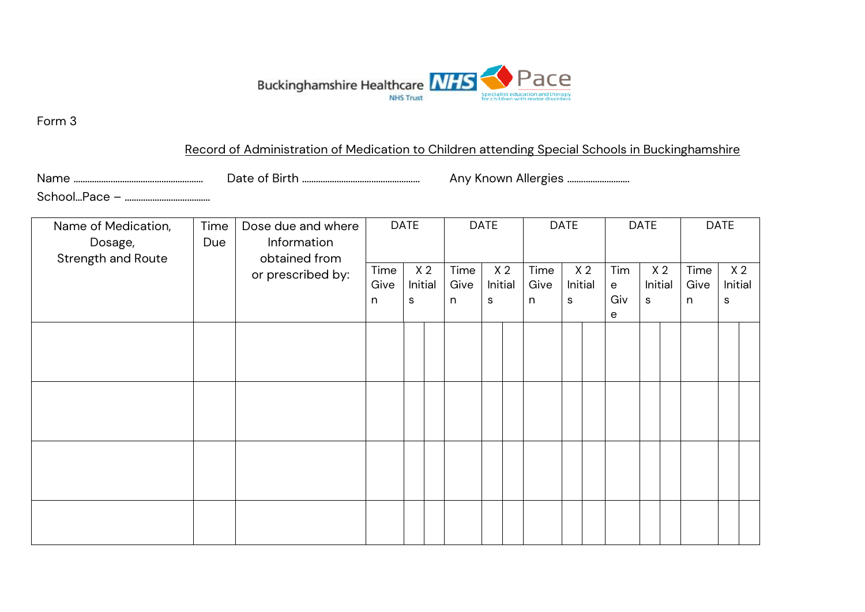

## Record of Administration of Medication to Children attending Special Schools in Buckinghamshire

Name ……………..………………………………… Date of Birth …………………………………………… Any Known Allergies ……..……………….

School…Pace – ……………………………….

| Name of Medication,<br>Dosage,<br>Strength and Route | Time<br>Due | Dose due and where<br>Information<br>obtained from |                   | <b>DATE</b>  |                |                   | <b>DATE</b>                    |                   | <b>DATE</b>  | <b>DATE</b>    |                                 | <b>DATE</b>                    |                              |   |                           |
|------------------------------------------------------|-------------|----------------------------------------------------|-------------------|--------------|----------------|-------------------|--------------------------------|-------------------|--------------|----------------|---------------------------------|--------------------------------|------------------------------|---|---------------------------|
|                                                      |             | or prescribed by:                                  | Time<br>Give<br>n | Initial<br>S | X <sub>2</sub> | Time<br>Give<br>n | X <sub>2</sub><br>Initial<br>S | Time<br>Give<br>n | Initial<br>S | X <sub>2</sub> | Tim<br>$\mathbf{e}$<br>Giv<br>е | X <sub>2</sub><br>Initial<br>s | Time<br>Give<br>$\mathsf{n}$ | s | X <sub>2</sub><br>Initial |
|                                                      |             |                                                    |                   |              |                |                   |                                |                   |              |                |                                 |                                |                              |   |                           |
|                                                      |             |                                                    |                   |              |                |                   |                                |                   |              |                |                                 |                                |                              |   |                           |
|                                                      |             |                                                    |                   |              |                |                   |                                |                   |              |                |                                 |                                |                              |   |                           |
|                                                      |             |                                                    |                   |              |                |                   |                                |                   |              |                |                                 |                                |                              |   |                           |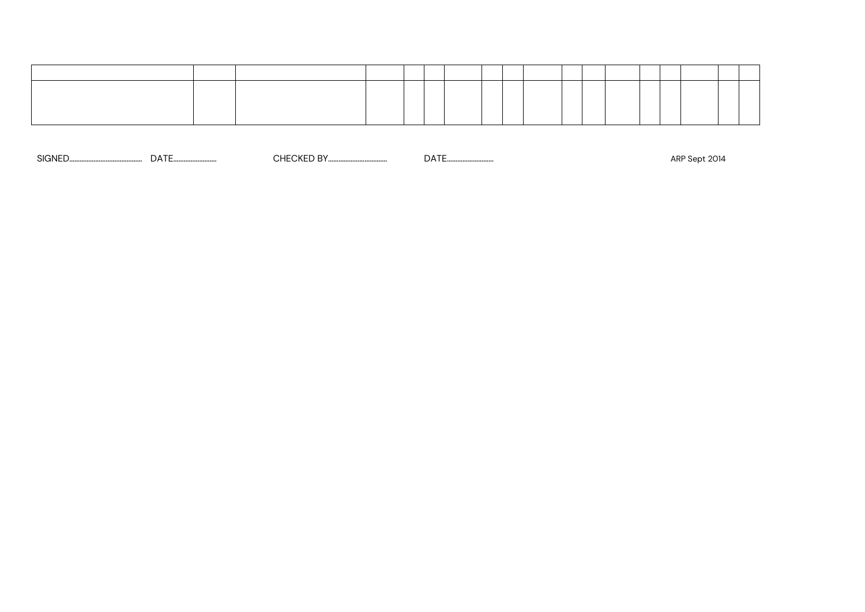SIGNED…………………………………… DATE……………………. CHECKED BY……………………………. DATE……………………… ARP Sept 2014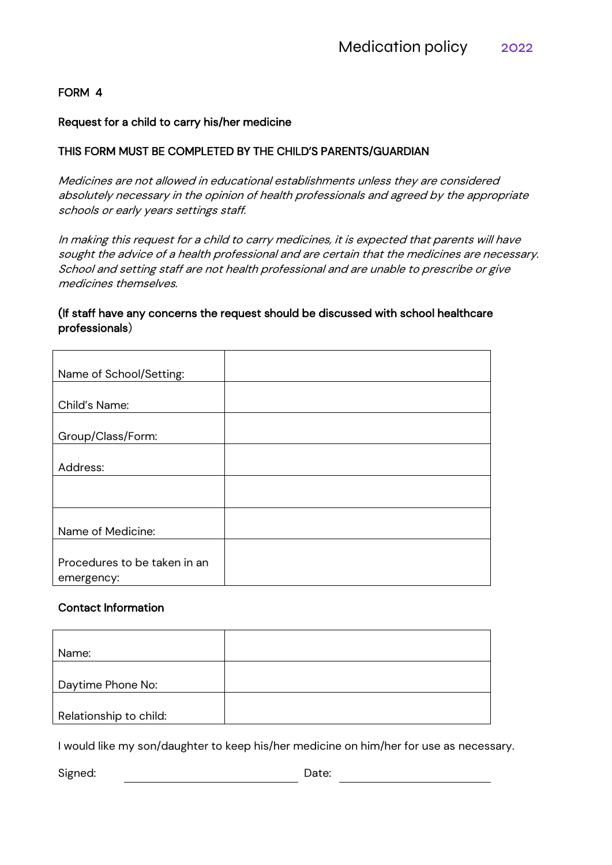#### FORM 4

#### Request for a child to carry his/her medicine

#### THIS FORM MUST BE COMPLETED BY THE CHILD'S PARENTS/GUARDIAN

Medicines are not allowed in educational establishments unless they are considered absolutely necessary in the opinion of health professionals and agreed by the appropriate schools or early years settings staff.

In making this request for a child to carry medicines, it is expected that parents will have sought the advice of a health professional and are certain that the medicines are necessary. School and setting staff are not health professional and are unable to prescribe or give medicines themselves.

#### (If staff have any concerns the request should be discussed with school healthcare professionals)

| Name of School/Setting:      |  |
|------------------------------|--|
|                              |  |
| Child's Name:                |  |
|                              |  |
| Group/Class/Form:            |  |
|                              |  |
| Address:                     |  |
|                              |  |
|                              |  |
|                              |  |
| Name of Medicine:            |  |
|                              |  |
| Procedures to be taken in an |  |
| emergency:                   |  |

#### Contact Information

| Name:                  |  |
|------------------------|--|
|                        |  |
| Daytime Phone No:      |  |
|                        |  |
| Relationship to child: |  |

I would like my son/daughter to keep his/her medicine on him/her for use as necessary.

Signed: Date: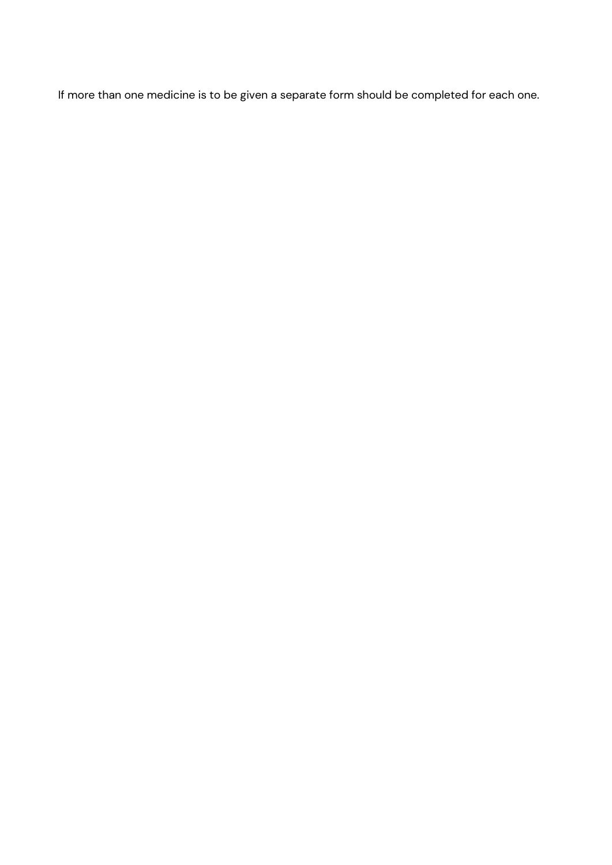If more than one medicine is to be given a separate form should be completed for each one.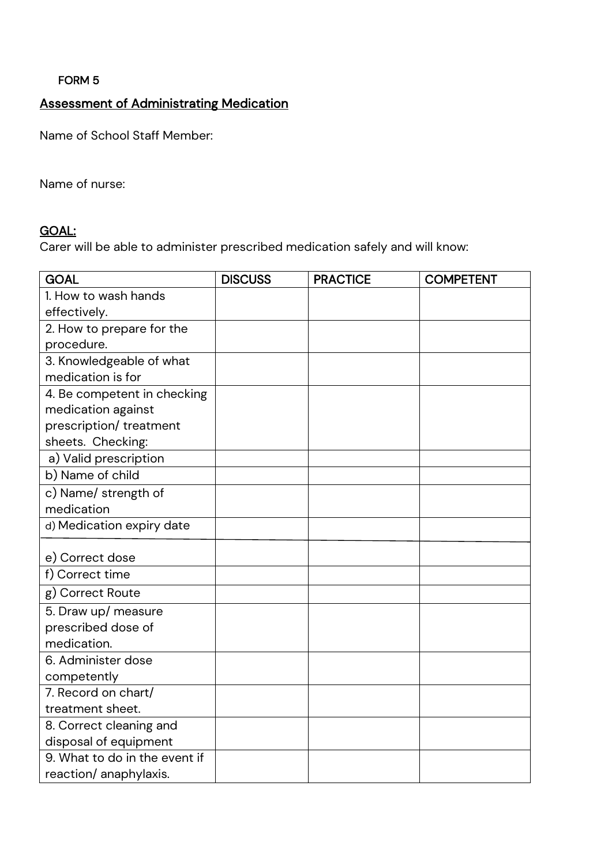FORM 5

# Assessment of Administrating Medication

Name of School Staff Member:

Name of nurse:

## GOAL:

Carer will be able to administer prescribed medication safely and will know:

| <b>GOAL</b>                   | <b>DISCUSS</b> | <b>PRACTICE</b> | <b>COMPETENT</b> |
|-------------------------------|----------------|-----------------|------------------|
| 1. How to wash hands          |                |                 |                  |
| effectively.                  |                |                 |                  |
| 2. How to prepare for the     |                |                 |                  |
| procedure.                    |                |                 |                  |
| 3. Knowledgeable of what      |                |                 |                  |
| medication is for             |                |                 |                  |
| 4. Be competent in checking   |                |                 |                  |
| medication against            |                |                 |                  |
| prescription/ treatment       |                |                 |                  |
| sheets. Checking:             |                |                 |                  |
| a) Valid prescription         |                |                 |                  |
| b) Name of child              |                |                 |                  |
| c) Name/ strength of          |                |                 |                  |
| medication                    |                |                 |                  |
| d) Medication expiry date     |                |                 |                  |
| e) Correct dose               |                |                 |                  |
| f) Correct time               |                |                 |                  |
| g) Correct Route              |                |                 |                  |
| 5. Draw up/ measure           |                |                 |                  |
| prescribed dose of            |                |                 |                  |
| medication.                   |                |                 |                  |
| 6. Administer dose            |                |                 |                  |
| competently                   |                |                 |                  |
| 7. Record on chart/           |                |                 |                  |
| treatment sheet.              |                |                 |                  |
| 8. Correct cleaning and       |                |                 |                  |
| disposal of equipment         |                |                 |                  |
| 9. What to do in the event if |                |                 |                  |
| reaction/ anaphylaxis.        |                |                 |                  |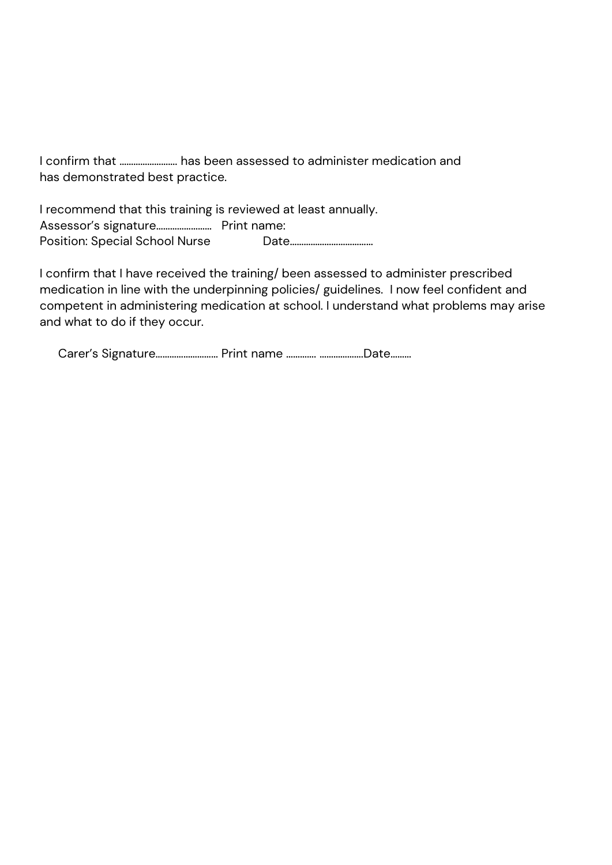I confirm that ……………………. has been assessed to administer medication and has demonstrated best practice.

I recommend that this training is reviewed at least annually. Assessor's signature…………………… Print name: Position: Special School Nurse Date………………………………

I confirm that I have received the training/ been assessed to administer prescribed medication in line with the underpinning policies/ guidelines. I now feel confident and competent in administering medication at school. I understand what problems may arise and what to do if they occur.

Carer's Signature……………………… Print name …………. ……………….Date………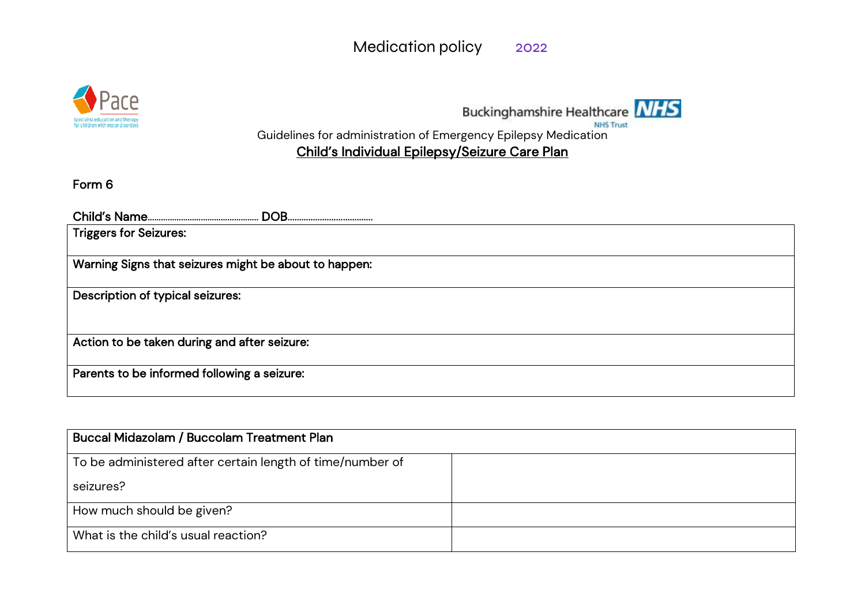



Guidelines for administration of Emergency Epilepsy Medication

# Child's Individual Epilepsy/Seizure Care Plan

Form 6

| <b>Triggers for Seizures:</b>                         |
|-------------------------------------------------------|
| Warning Signs that seizures might be about to happen: |
| Description of typical seizures:                      |
| Action to be taken during and after seizure:          |
| Parents to be informed following a seizure:           |

| Buccal Midazolam / Buccolam Treatment Plan                |  |
|-----------------------------------------------------------|--|
| To be administered after certain length of time/number of |  |
| seizures?                                                 |  |
| How much should be given?                                 |  |
| What is the child's usual reaction?                       |  |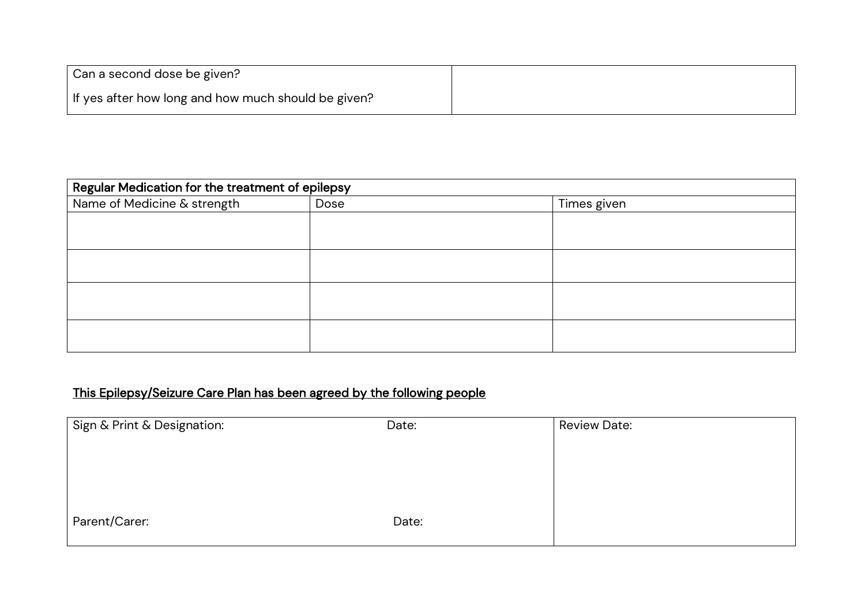| Can a second dose be given?                         |  |
|-----------------------------------------------------|--|
| If yes after how long and how much should be given? |  |

| Regular Medication for the treatment of epilepsy |      |             |  |  |  |
|--------------------------------------------------|------|-------------|--|--|--|
| Name of Medicine & strength                      | Dose | Times given |  |  |  |
|                                                  |      |             |  |  |  |
|                                                  |      |             |  |  |  |
|                                                  |      |             |  |  |  |
|                                                  |      |             |  |  |  |
|                                                  |      |             |  |  |  |
|                                                  |      |             |  |  |  |
|                                                  |      |             |  |  |  |
|                                                  |      |             |  |  |  |

# This Epilepsy/Seizure Care Plan has been agreed by the following people

| Sign & Print & Designation: | Date: | <b>Review Date:</b> |
|-----------------------------|-------|---------------------|
|                             |       |                     |
|                             |       |                     |
|                             |       |                     |
|                             |       |                     |
| Parent/Carer:               | Date: |                     |
|                             |       |                     |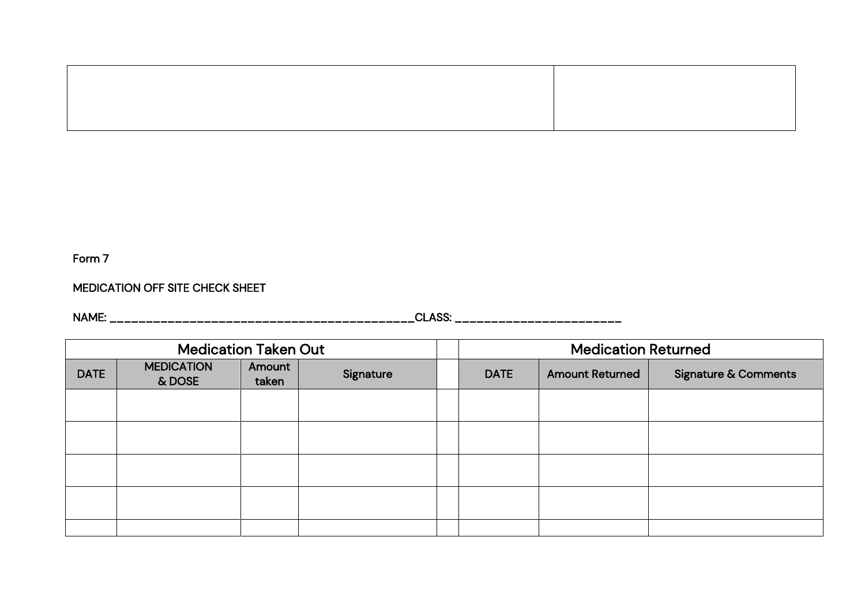## MEDICATION OFF SITE CHECK SHEET

NAME: \_\_\_\_\_\_\_\_\_\_\_\_\_\_\_\_\_\_\_\_\_\_\_\_\_\_\_\_\_\_\_\_\_\_\_\_\_\_\_\_\_\_CLASS: \_\_\_\_\_\_\_\_\_\_\_\_\_\_\_\_\_\_\_\_\_\_\_

| <b>Medication Taken Out</b> |                             |                 |           | <b>Medication Returned</b>            |  |                                 |
|-----------------------------|-----------------------------|-----------------|-----------|---------------------------------------|--|---------------------------------|
| <b>DATE</b>                 | <b>MEDICATION</b><br>& DOSE | Amount<br>taken | Signature | <b>DATE</b><br><b>Amount Returned</b> |  | <b>Signature &amp; Comments</b> |
|                             |                             |                 |           |                                       |  |                                 |
|                             |                             |                 |           |                                       |  |                                 |
|                             |                             |                 |           |                                       |  |                                 |
|                             |                             |                 |           |                                       |  |                                 |
|                             |                             |                 |           |                                       |  |                                 |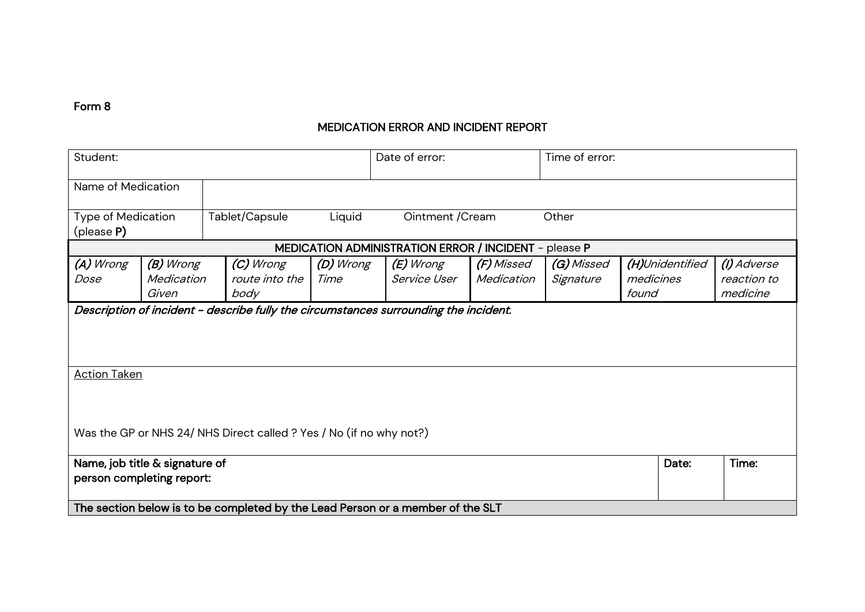## MEDICATION ERROR AND INCIDENT REPORT

| Student:                                                                       |                                                                                      |                                     | Date of error:    |                                                       | Time of error:           |                         |                                       |                                        |
|--------------------------------------------------------------------------------|--------------------------------------------------------------------------------------|-------------------------------------|-------------------|-------------------------------------------------------|--------------------------|-------------------------|---------------------------------------|----------------------------------------|
|                                                                                | Name of Medication                                                                   |                                     |                   |                                                       |                          |                         |                                       |                                        |
| <b>Type of Medication</b><br>$(\text{please } P)$                              |                                                                                      | Tablet/Capsule                      | Liquid            | Ointment / Cream                                      |                          | Other                   |                                       |                                        |
|                                                                                |                                                                                      |                                     |                   | MEDICATION ADMINISTRATION ERROR / INCIDENT - please P |                          |                         |                                       |                                        |
| (A) Wrong<br>Dose                                                              | (B) Wrong<br>Medication<br>Given                                                     | (C) Wrong<br>route into the<br>body | (D) Wrong<br>Time | (E) Wrong<br>Service User                             | (F) Missed<br>Medication | (G) Missed<br>Signature | (H)Unidentified<br>medicines<br>found | (I) Adverse<br>reaction to<br>medicine |
|                                                                                | Description of incident - describe fully the circumstances surrounding the incident. |                                     |                   |                                                       |                          |                         |                                       |                                        |
| <b>Action Taken</b>                                                            |                                                                                      |                                     |                   |                                                       |                          |                         |                                       |                                        |
| Was the GP or NHS 24/ NHS Direct called ? Yes / No (if no why not?)            |                                                                                      |                                     |                   |                                                       |                          |                         |                                       |                                        |
| Name, job title & signature of<br>Date:<br>person completing report:           |                                                                                      |                                     |                   |                                                       | Time:                    |                         |                                       |                                        |
|                                                                                |                                                                                      |                                     |                   |                                                       |                          |                         |                                       |                                        |
| The section below is to be completed by the Lead Person or a member of the SLT |                                                                                      |                                     |                   |                                                       |                          |                         |                                       |                                        |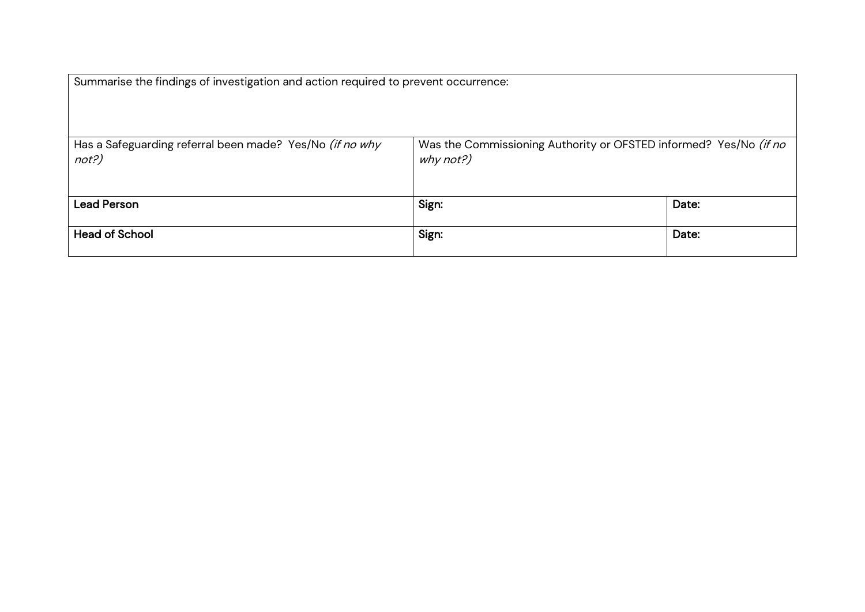| Summarise the findings of investigation and action required to prevent occurrence: |                                                                                |       |
|------------------------------------------------------------------------------------|--------------------------------------------------------------------------------|-------|
| Has a Safeguarding referral been made? Yes/No (if no why<br>not?)                  | Was the Commissioning Authority or OFSTED informed? Yes/No (if no<br>why not?) |       |
| <b>Lead Person</b>                                                                 | Sign:                                                                          | Date: |
| <b>Head of School</b>                                                              | Sign:                                                                          | Date: |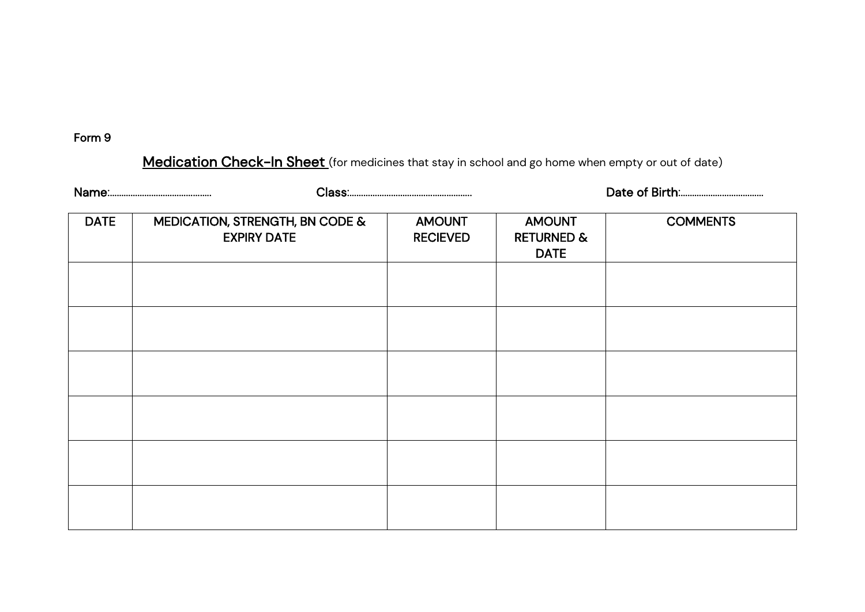Medication Check-In Sheet (for medicines that stay in school and go home when empty or out of date)

| <b>DATE</b> | MEDICATION, STRENGTH, BN CODE &<br><b>EXPIRY DATE</b> | <b>AMOUNT</b><br><b>RECIEVED</b> | <b>AMOUNT</b><br><b>RETURNED &amp;</b><br><b>DATE</b> | <b>COMMENTS</b> |  |  |
|-------------|-------------------------------------------------------|----------------------------------|-------------------------------------------------------|-----------------|--|--|
|             |                                                       |                                  |                                                       |                 |  |  |
|             |                                                       |                                  |                                                       |                 |  |  |
|             |                                                       |                                  |                                                       |                 |  |  |
|             |                                                       |                                  |                                                       |                 |  |  |
|             |                                                       |                                  |                                                       |                 |  |  |
|             |                                                       |                                  |                                                       |                 |  |  |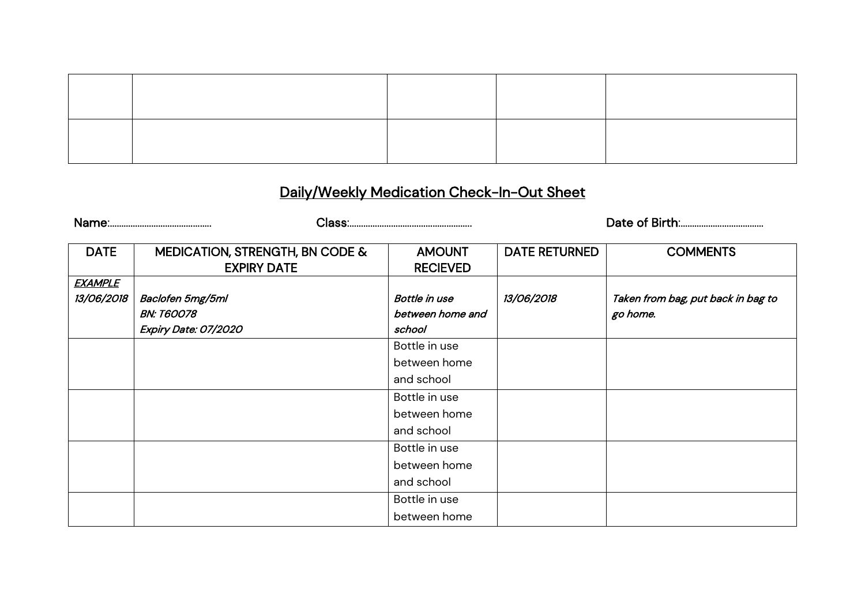# Daily/Weekly Medication Check-In-Out Sheet

Name:…………………………………….. Class:…………………………………………….. Date of Birth:………………………………

| <b>DATE</b>              | MEDICATION, STRENGTH, BN CODE & | <b>AMOUNT</b>        | <b>DATE RETURNED</b> | <b>COMMENTS</b>                    |
|--------------------------|---------------------------------|----------------------|----------------------|------------------------------------|
|                          | <b>EXPIRY DATE</b>              | <b>RECIEVED</b>      |                      |                                    |
| <b>EXAMPLE</b>           |                                 |                      |                      |                                    |
| <i><b>13/06/2018</b></i> | Baclofen 5mg/5ml                | <b>Bottle in use</b> | 13/06/2018           | Taken from bag, put back in bag to |
|                          | <b>BN: T60078</b>               | between home and     |                      | go home.                           |
|                          | Expiry Date: 07/2020            | school               |                      |                                    |
|                          |                                 | Bottle in use        |                      |                                    |
|                          |                                 | between home         |                      |                                    |
|                          |                                 | and school           |                      |                                    |
|                          |                                 | Bottle in use        |                      |                                    |
|                          |                                 | between home         |                      |                                    |
|                          |                                 | and school           |                      |                                    |
|                          |                                 | Bottle in use        |                      |                                    |
|                          |                                 | between home         |                      |                                    |
|                          |                                 | and school           |                      |                                    |
|                          |                                 | Bottle in use        |                      |                                    |
|                          |                                 | between home         |                      |                                    |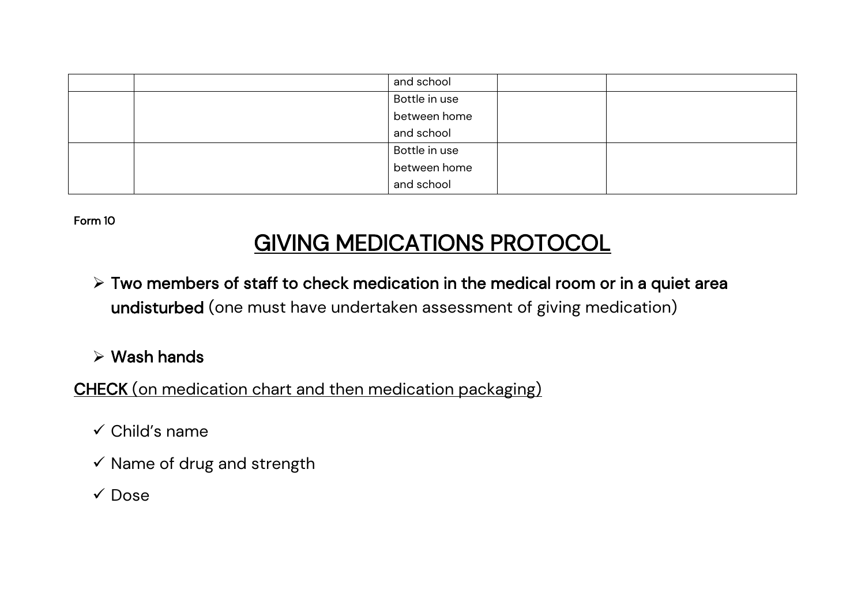|  | and school    |  |
|--|---------------|--|
|  | Bottle in use |  |
|  | between home  |  |
|  | and school    |  |
|  | Bottle in use |  |
|  | between home  |  |
|  | and school    |  |

# GIVING MEDICATIONS PROTOCOL

➢ Two members of staff to check medication in the medical room or in a quiet area undisturbed (one must have undertaken assessment of giving medication)

➢ Wash hands

CHECK (on medication chart and then medication packaging)

- ✓ Child's name
- $\checkmark$  Name of drug and strength
- ✓ Dose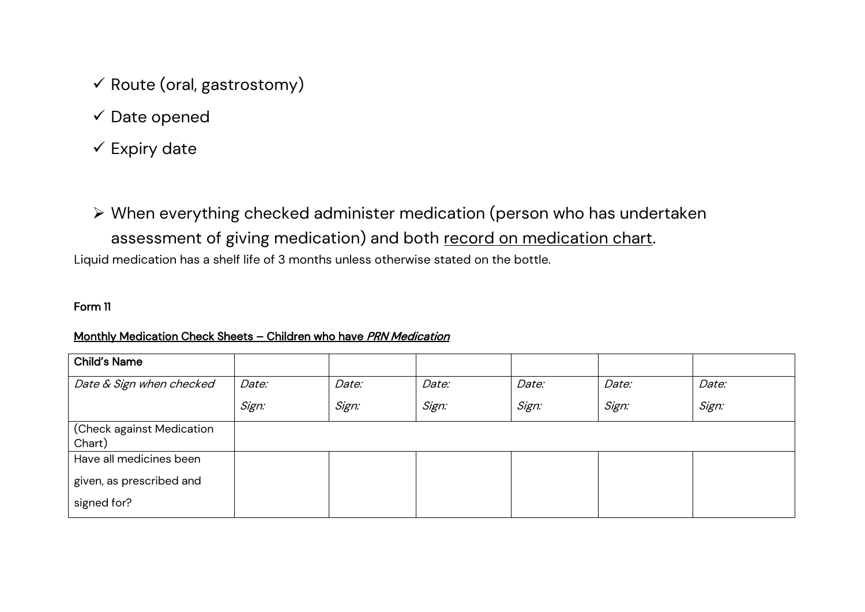- $\checkmark$  Route (oral, gastrostomy)
- $\checkmark$  Date opened
- $\checkmark$  Expiry date
- ➢ When everything checked administer medication (person who has undertaken assessment of giving medication) and both record on medication chart.

Liquid medication has a shelf life of 3 months unless otherwise stated on the bottle.

#### Form 11

#### Monthly Medication Check Sheets – Children who have PRN Medication

| <b>Child's Name</b>       |       |       |       |       |       |       |
|---------------------------|-------|-------|-------|-------|-------|-------|
| Date & Sign when checked  | Date: | Date: | Date: | Date: | Date: | Date: |
|                           | Sign: | Sign: | Sign: | Sign: | Sign: | Sign: |
| (Check against Medication |       |       |       |       |       |       |
| Chart)                    |       |       |       |       |       |       |
| Have all medicines been   |       |       |       |       |       |       |
| given, as prescribed and  |       |       |       |       |       |       |
| signed for?               |       |       |       |       |       |       |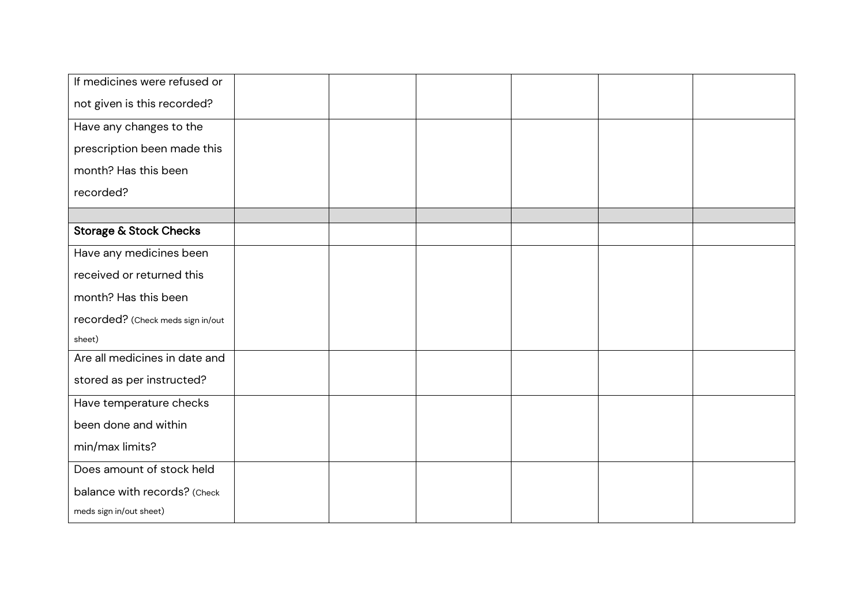| If medicines were refused or      |  |  |  |
|-----------------------------------|--|--|--|
| not given is this recorded?       |  |  |  |
| Have any changes to the           |  |  |  |
| prescription been made this       |  |  |  |
| month? Has this been              |  |  |  |
| recorded?                         |  |  |  |
|                                   |  |  |  |
| <b>Storage &amp; Stock Checks</b> |  |  |  |
| Have any medicines been           |  |  |  |
| received or returned this         |  |  |  |
| month? Has this been              |  |  |  |
| recorded? (Check meds sign in/out |  |  |  |
| sheet)                            |  |  |  |
| Are all medicines in date and     |  |  |  |
| stored as per instructed?         |  |  |  |
| Have temperature checks           |  |  |  |
| been done and within              |  |  |  |
| min/max limits?                   |  |  |  |
| Does amount of stock held         |  |  |  |
| balance with records? (Check      |  |  |  |
| meds sign in/out sheet)           |  |  |  |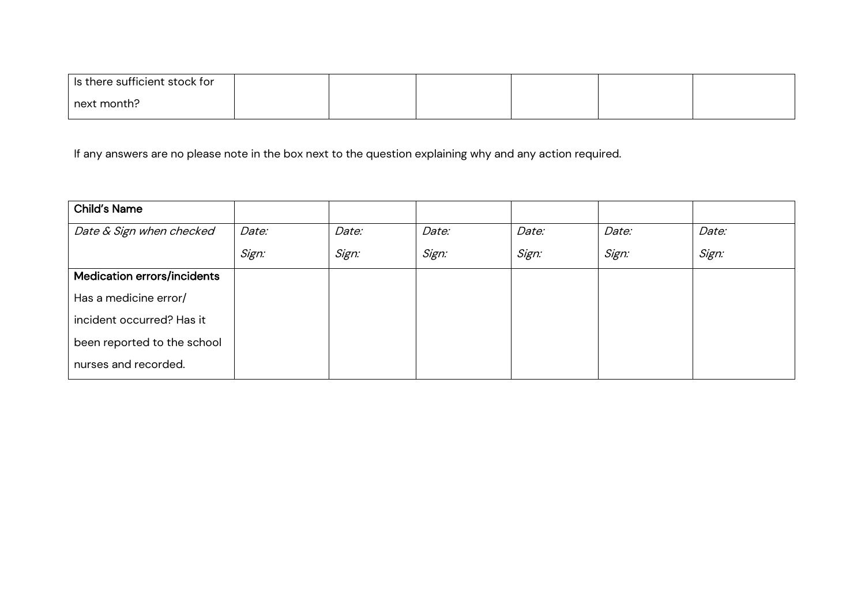| Is there sufficient stock for |  |  |  |
|-------------------------------|--|--|--|
| next month?                   |  |  |  |

If any answers are no please note in the box next to the question explaining why and any action required.

| <b>Child's Name</b>                |       |       |       |       |       |       |
|------------------------------------|-------|-------|-------|-------|-------|-------|
| Date & Sign when checked           | Date: | Date: | Date: | Date: | Date: | Date: |
|                                    | Sign: | Sign: | Sign: | Sign: | Sign: | Sign: |
| <b>Medication errors/incidents</b> |       |       |       |       |       |       |
| Has a medicine error/              |       |       |       |       |       |       |
| incident occurred? Has it          |       |       |       |       |       |       |
| been reported to the school        |       |       |       |       |       |       |
| nurses and recorded.               |       |       |       |       |       |       |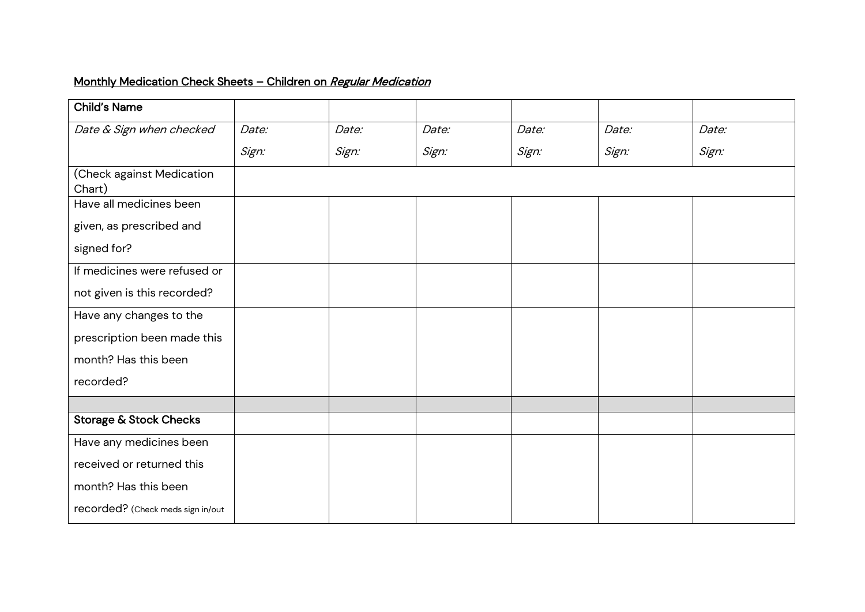# Monthly Medication Check Sheets - Children on Regular Medication

| <b>Child's Name</b>                 |       |       |       |       |       |       |
|-------------------------------------|-------|-------|-------|-------|-------|-------|
| Date & Sign when checked            | Date: | Date: | Date: | Date: | Date: | Date: |
|                                     | Sign: | Sign: | Sign: | Sign: | Sign: | Sign: |
| (Check against Medication<br>Chart) |       |       |       |       |       |       |
| Have all medicines been             |       |       |       |       |       |       |
| given, as prescribed and            |       |       |       |       |       |       |
| signed for?                         |       |       |       |       |       |       |
| If medicines were refused or        |       |       |       |       |       |       |
| not given is this recorded?         |       |       |       |       |       |       |
| Have any changes to the             |       |       |       |       |       |       |
| prescription been made this         |       |       |       |       |       |       |
| month? Has this been                |       |       |       |       |       |       |
| recorded?                           |       |       |       |       |       |       |
|                                     |       |       |       |       |       |       |
| <b>Storage &amp; Stock Checks</b>   |       |       |       |       |       |       |
| Have any medicines been             |       |       |       |       |       |       |
| received or returned this           |       |       |       |       |       |       |
| month? Has this been                |       |       |       |       |       |       |
| recorded? (Check meds sign in/out   |       |       |       |       |       |       |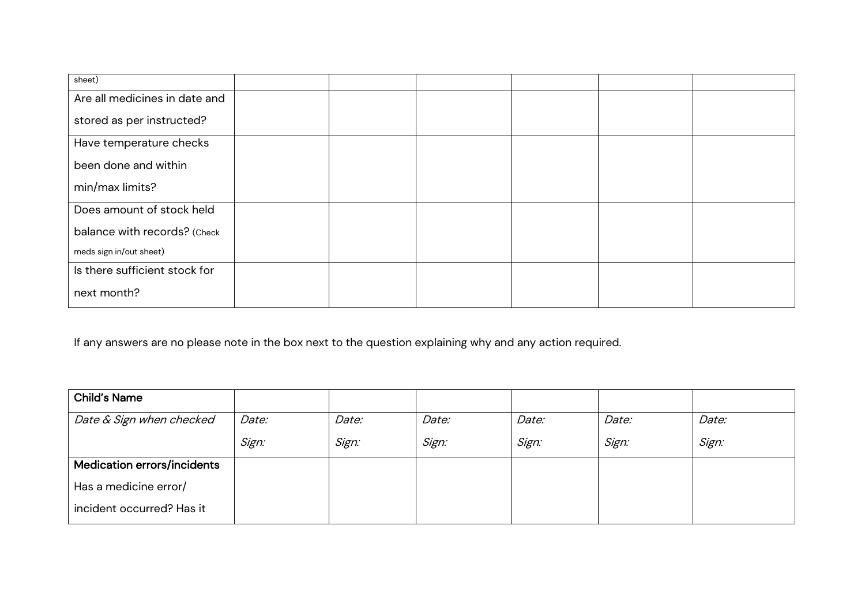| sheet)                        |  |  |
|-------------------------------|--|--|
| Are all medicines in date and |  |  |
| stored as per instructed?     |  |  |
| Have temperature checks       |  |  |
| been done and within          |  |  |
| min/max limits?               |  |  |
| Does amount of stock held     |  |  |
| balance with records? (Check  |  |  |
| meds sign in/out sheet)       |  |  |
| Is there sufficient stock for |  |  |
| next month?                   |  |  |

If any answers are no please note in the box next to the question explaining why and any action required.

| <b>Child's Name</b>                |       |       |       |       |       |       |
|------------------------------------|-------|-------|-------|-------|-------|-------|
| Date & Sign when checked           | Date: | Date: | Date: | Date: | Date: | Date: |
|                                    | Sign: | Sign: | Sign: | Sign: | Sign: | Sign: |
| <b>Medication errors/incidents</b> |       |       |       |       |       |       |
| Has a medicine error/              |       |       |       |       |       |       |
| incident occurred? Has it          |       |       |       |       |       |       |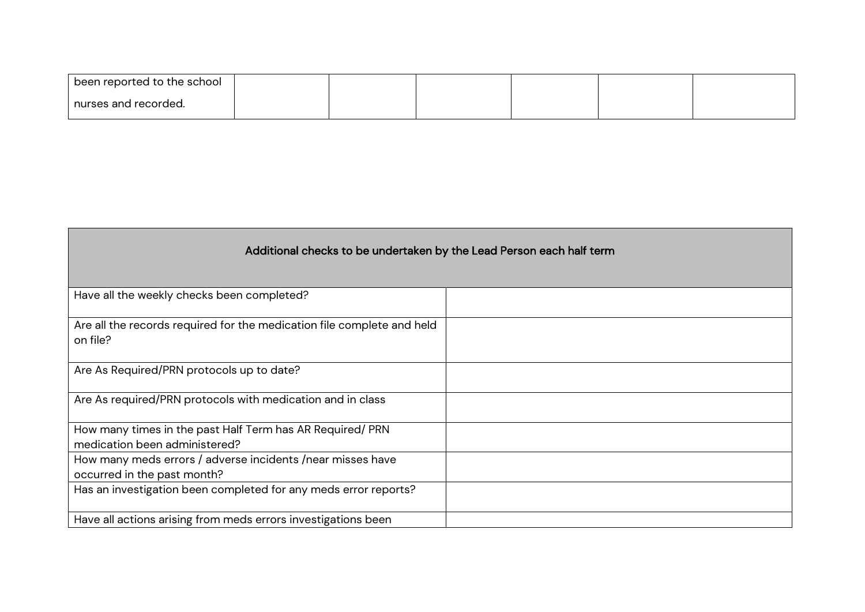| been reported to the school ' |  |  |  |
|-------------------------------|--|--|--|
| nurses and recorded.          |  |  |  |

| Additional checks to be undertaken by the Lead Person each half term               |  |
|------------------------------------------------------------------------------------|--|
| Have all the weekly checks been completed?                                         |  |
| Are all the records required for the medication file complete and held<br>on file? |  |
| Are As Required/PRN protocols up to date?                                          |  |
| Are As required/PRN protocols with medication and in class                         |  |
| How many times in the past Half Term has AR Required/ PRN                          |  |
| medication been administered?                                                      |  |
| How many meds errors / adverse incidents / near misses have                        |  |
| occurred in the past month?                                                        |  |
| Has an investigation been completed for any meds error reports?                    |  |
| Have all actions arising from meds errors investigations been                      |  |